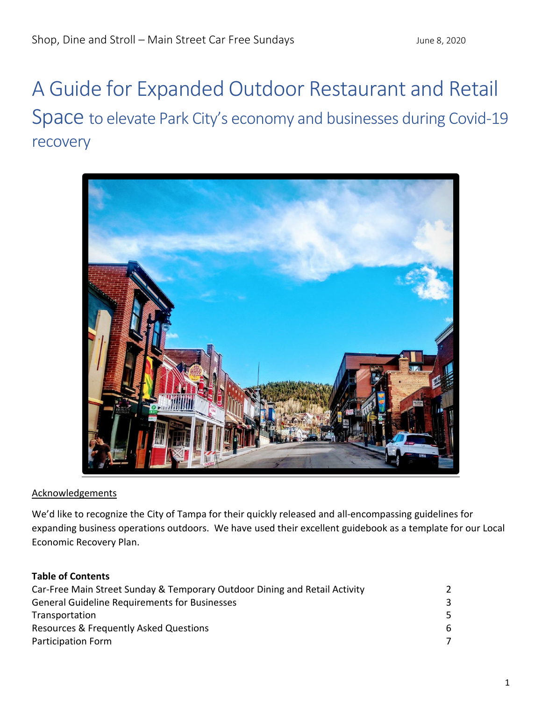# A Guide for Expanded Outdoor Restaurant and Retail Space to elevate Park City's economy and businesses during Covid-19 recovery



# Acknowledgements

We'd like to recognize the City of Tampa for their quickly released and all-encompassing guidelines for expanding business operations outdoors. We have used their excellent guidebook as a template for our Local Economic Recovery Plan.

# **Table of Contents**

| Car-Free Main Street Sunday & Temporary Outdoor Dining and Retail Activity | $\mathcal{L}$ |
|----------------------------------------------------------------------------|---------------|
| <b>General Guideline Requirements for Businesses</b>                       | 3.            |
| Transportation                                                             |               |
| Resources & Frequently Asked Questions                                     | 6.            |
| Participation Form                                                         | 7             |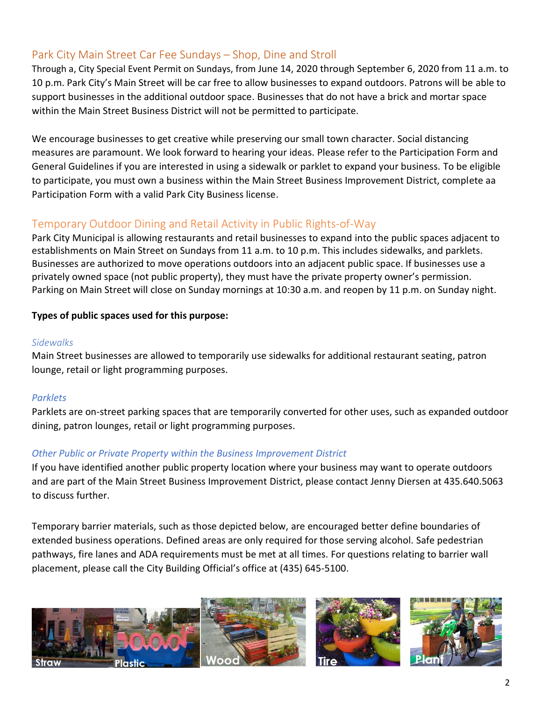# Park City Main Street Car Fee Sundays – Shop, Dine and Stroll

Through a, City Special Event Permit on Sundays, from June 14, 2020 through September 6, 2020 from 11 a.m. to 10 p.m. Park City's Main Street will be car free to allow businesses to expand outdoors. Patrons will be able to support businesses in the additional outdoor space. Businesses that do not have a brick and mortar space within the Main Street Business District will not be permitted to participate.

We encourage businesses to get creative while preserving our small town character. Social distancing measures are paramount. We look forward to hearing your ideas. Please refer to the Participation Form and General Guidelines if you are interested in using a sidewalk or parklet to expand your business. To be eligible to participate, you must own a business within the Main Street Business Improvement District, complete aa Participation Form with a valid Park City Business license.

# Temporary Outdoor Dining and Retail Activity in Public Rights-of-Way

Park City Municipal is allowing restaurants and retail businesses to expand into the public spaces adjacent to establishments on Main Street on Sundays from 11 a.m. to 10 p.m. This includes sidewalks, and parklets. Businesses are authorized to move operations outdoors into an adjacent public space. If businesses use a privately owned space (not public property), they must have the private property owner's permission. Parking on Main Street will close on Sunday mornings at 10:30 a.m. and reopen by 11 p.m. on Sunday night.

# **Types of public spaces used for this purpose:**

#### *Sidewalks*

Main Street businesses are allowed to temporarily use sidewalks for additional restaurant seating, patron lounge, retail or light programming purposes.

# *Parklets*

Parklets are on-street parking spaces that are temporarily converted for other uses, such as expanded outdoor dining, patron lounges, retail or light programming purposes.

# *Other Public or Private Property within the Business Improvement District*

If you have identified another public property location where your business may want to operate outdoors and are part of the Main Street Business Improvement District, please contact Jenny Diersen at 435.640.5063 to discuss further.

Temporary barrier materials, such as those depicted below, are encouraged better define boundaries of extended business operations. Defined areas are only required for those serving alcohol. Safe pedestrian pathways, fire lanes and ADA requirements must be met at all times. For questions relating to barrier wall placement, please call the City Building Official's office at (435) 645-5100.

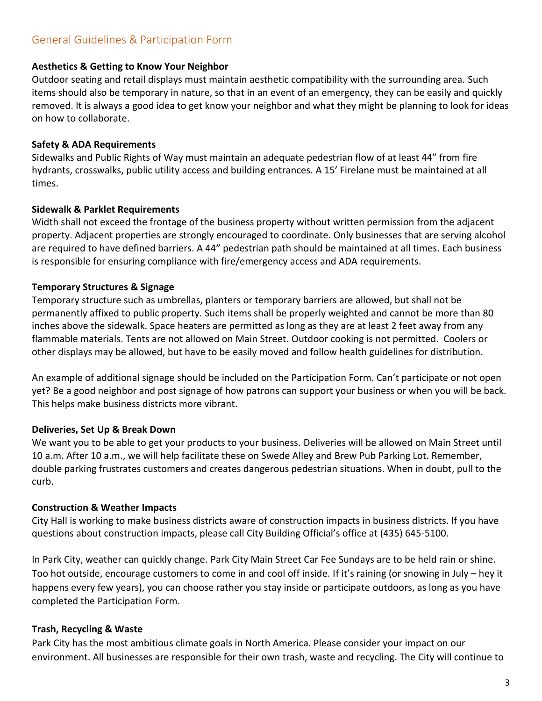#### **Aesthetics & Getting to Know Your Neighbor**

Outdoor seating and retail displays must maintain aesthetic compatibility with the surrounding area. Such items should also be temporary in nature, so that in an event of an emergency, they can be easily and quickly removed. It is always a good idea to get know your neighbor and what they might be planning to look for ideas on how to collaborate.

#### **Safety & ADA Requirements**

Sidewalks and Public Rights of Way must maintain an adequate pedestrian flow of at least 44" from fire hydrants, crosswalks, public utility access and building entrances. A 15' Firelane must be maintained at all times.

#### **Sidewalk & Parklet Requirements**

Width shall not exceed the frontage of the business property without written permission from the adjacent property. Adjacent properties are strongly encouraged to coordinate. Only businesses that are serving alcohol are required to have defined barriers. A 44" pedestrian path should be maintained at all times. Each business is responsible for ensuring compliance with fire/emergency access and ADA requirements.

#### **Temporary Structures & Signage**

Temporary structure such as umbrellas, planters or temporary barriers are allowed, but shall not be permanently affixed to public property. Such items shall be properly weighted and cannot be more than 80 inches above the sidewalk. Space heaters are permitted as long as they are at least 2 feet away from any flammable materials. Tents are not allowed on Main Street. Outdoor cooking is not permitted. Coolers or other displays may be allowed, but have to be easily moved and follow health guidelines for distribution.

An example of additional signage should be included on the Participation Form. Can't participate or not open yet? Be a good neighbor and post signage of how patrons can support your business or when you will be back. This helps make business districts more vibrant.

# **Deliveries, Set Up & Break Down**

We want you to be able to get your products to your business. Deliveries will be allowed on Main Street until 10 a.m. After 10 a.m., we will help facilitate these on Swede Alley and Brew Pub Parking Lot. Remember, double parking frustrates customers and creates dangerous pedestrian situations. When in doubt, pull to the curb.

# **Construction & Weather Impacts**

City Hall is working to make business districts aware of construction impacts in business districts. If you have questions about construction impacts, please call City Building Official's office at (435) 645-5100.

In Park City, weather can quickly change. Park City Main Street Car Fee Sundays are to be held rain or shine. Too hot outside, encourage customers to come in and cool off inside. If it's raining (or snowing in July – hey it happens every few years), you can choose rather you stay inside or participate outdoors, as long as you have completed the Participation Form.

# **Trash, Recycling & Waste**

Park City has the most ambitious climate goals in North America. Please consider your impact on our environment. All businesses are responsible for their own trash, waste and recycling. The City will continue to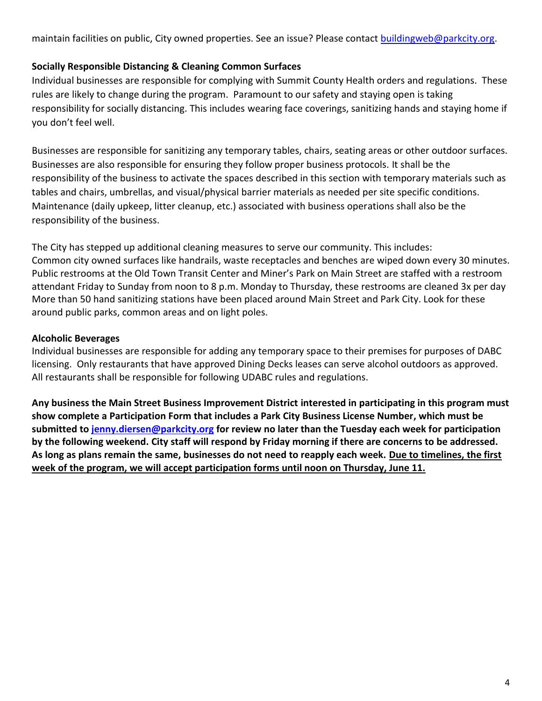maintain facilities on public, City owned properties. See an issue? Please contact **buildingweb@parkcity.org**.

# **Socially Responsible Distancing & Cleaning Common Surfaces**

Individual businesses are responsible for complying with Summit County Health orders and regulations. These rules are likely to change during the program. Paramount to our safety and staying open is taking responsibility for socially distancing. This includes wearing face coverings, sanitizing hands and staying home if you don't feel well.

Businesses are responsible for sanitizing any temporary tables, chairs, seating areas or other outdoor surfaces. Businesses are also responsible for ensuring they follow proper business protocols. It shall be the responsibility of the business to activate the spaces described in this section with temporary materials such as tables and chairs, umbrellas, and visual/physical barrier materials as needed per site specific conditions. Maintenance (daily upkeep, litter cleanup, etc.) associated with business operations shall also be the responsibility of the business.

The City has stepped up additional cleaning measures to serve our community. This includes: Common city owned surfaces like handrails, waste receptacles and benches are wiped down every 30 minutes. Public restrooms at the Old Town Transit Center and Miner's Park on Main Street are staffed with a restroom attendant Friday to Sunday from noon to 8 p.m. Monday to Thursday, these restrooms are cleaned 3x per day More than 50 hand sanitizing stations have been placed around Main Street and Park City. Look for these around public parks, common areas and on light poles.

# **Alcoholic Beverages**

Individual businesses are responsible for adding any temporary space to their premises for purposes of DABC licensing. Only restaurants that have approved Dining Decks leases can serve alcohol outdoors as approved. All restaurants shall be responsible for following UDABC rules and regulations.

**Any business the Main Street Business Improvement District interested in participating in this program must show complete a Participation Form that includes a Park City Business License Number, which must be submitted to [jenny.diersen@parkcity.org](mailto:jenny.diersen@parkcity.org) for review no later than the Tuesday each week for participation by the following weekend. City staff will respond by Friday morning if there are concerns to be addressed. As long as plans remain the same, businesses do not need to reapply each week. Due to timelines, the first week of the program, we will accept participation forms until noon on Thursday, June 11.**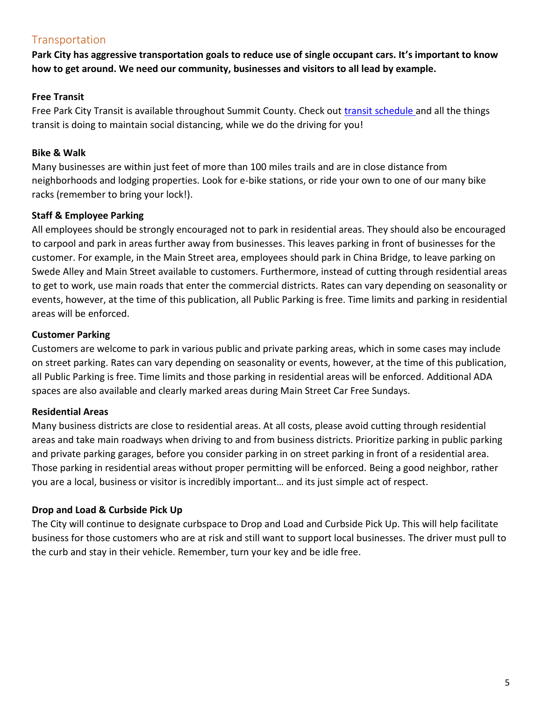# **Transportation**

**Park City has aggressive transportation goals to reduce use of single occupant cars. It's important to know how to get around. We need our community, businesses and visitors to all lead by example.**

# **Free Transit**

Free Park City Transit is available throughout Summit County. Check out *transit schedule* and all the things transit is doing to maintain social distancing, while we do the driving for you!

# **Bike & Walk**

Many businesses are within just feet of more than 100 miles trails and are in close distance from neighborhoods and lodging properties. Look for e-bike stations, or ride your own to one of our many bike racks (remember to bring your lock!).

# **Staff & Employee Parking**

All employees should be strongly encouraged not to park in residential areas. They should also be encouraged to carpool and park in areas further away from businesses. This leaves parking in front of businesses for the customer. For example, in the Main Street area, employees should park in China Bridge, to leave parking on Swede Alley and Main Street available to customers. Furthermore, instead of cutting through residential areas to get to work, use main roads that enter the commercial districts. Rates can vary depending on seasonality or events, however, at the time of this publication, all Public Parking is free. Time limits and parking in residential areas will be enforced.

# **Customer Parking**

Customers are welcome to park in various public and private parking areas, which in some cases may include on street parking. Rates can vary depending on seasonality or events, however, at the time of this publication, all Public Parking is free. Time limits and those parking in residential areas will be enforced. Additional ADA spaces are also available and clearly marked areas during Main Street Car Free Sundays.

# **Residential Areas**

Many business districts are close to residential areas. At all costs, please avoid cutting through residential areas and take main roadways when driving to and from business districts. Prioritize parking in public parking and private parking garages, before you consider parking in on street parking in front of a residential area. Those parking in residential areas without proper permitting will be enforced. Being a good neighbor, rather you are a local, business or visitor is incredibly important… and its just simple act of respect.

# **Drop and Load & Curbside Pick Up**

The City will continue to designate curbspace to Drop and Load and Curbside Pick Up. This will help facilitate business for those customers who are at risk and still want to support local businesses. The driver must pull to the curb and stay in their vehicle. Remember, turn your key and be idle free.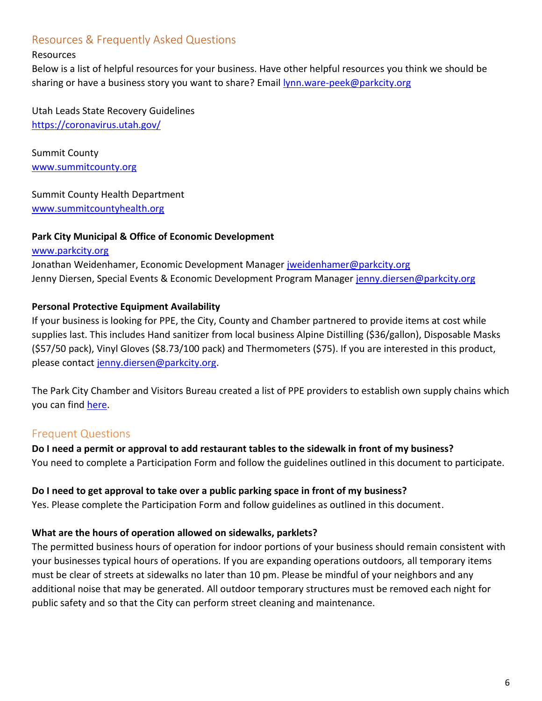# Resources & Frequently Asked Questions

#### Resources

Below is a list of helpful resources for your business. Have other helpful resources you think we should be sharing or have a business story you want to share? Email [lynn.ware-peek@parkcity.org](mailto:lynn.ware-peek@parkcity.org)

Utah Leads State Recovery Guidelines <https://coronavirus.utah.gov/>

Summit County [www.summitcounty.org](http://www.summitcounty.org/)

#### Summit County Health Department

[www.summitcountyhealth.org](http://www.summitcountyhealth.org/)

# **Park City Municipal & Office of Economic Development**

[www.parkcity.org](http://www.parkcity.org/) Jonathan Weidenhamer, Economic Development Manager [jweidenhamer@parkcity.org](mailto:jweidenhamer@parkcity.org) Jenny Diersen, Special Events & Economic Development Program Manager [jenny.diersen@parkcity.org](mailto:jenny.diersen@parkcity.org)

# **Personal Protective Equipment Availability**

If your business is looking for PPE, the City, County and Chamber partnered to provide items at cost while supplies last. This includes Hand sanitizer from local business Alpine Distilling (\$36/gallon), Disposable Masks (\$57/50 pack), Vinyl Gloves (\$8.73/100 pack) and Thermometers (\$75). If you are interested in this product, please contact [jenny.diersen@parkcity.org.](mailto:jenny.diersen@parkcity.org)

The Park City Chamber and Visitors Bureau created a list of PPE providers to establish own supply chains which you can find [here.](https://www.parkcity.org/Home/ShowDocument?id=67558)

# Frequent Questions

# **Do I need a permit or approval to add restaurant tables to the sidewalk in front of my business?**

You need to complete a Participation Form and follow the guidelines outlined in this document to participate.

#### **Do I need to get approval to take over a public parking space in front of my business?**

Yes. Please complete the Participation Form and follow guidelines as outlined in this document.

# **What are the hours of operation allowed on sidewalks, parklets?**

The permitted business hours of operation for indoor portions of your business should remain consistent with your businesses typical hours of operations. If you are expanding operations outdoors, all temporary items must be clear of streets at sidewalks no later than 10 pm. Please be mindful of your neighbors and any additional noise that may be generated. All outdoor temporary structures must be removed each night for public safety and so that the City can perform street cleaning and maintenance.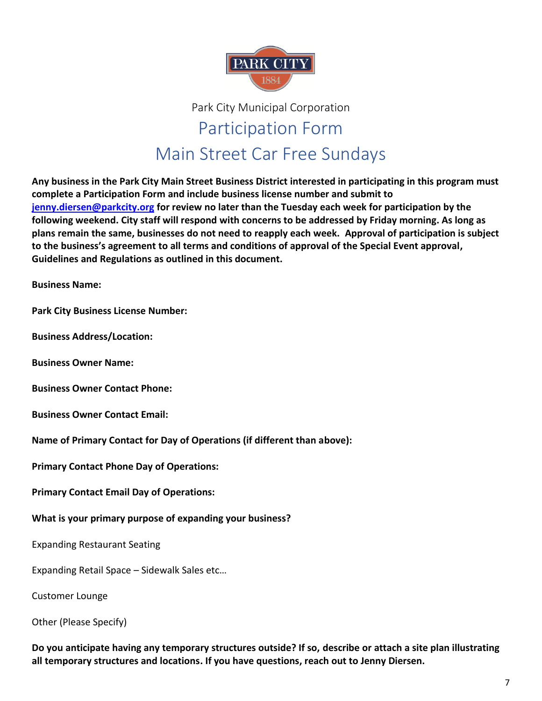

# Park City Municipal Corporation Participation Form Main Street Car Free Sundays

**Any business in the Park City Main Street Business District interested in participating in this program must complete a Participation Form and include business license number and submit to [jenny.diersen@parkcity.org](mailto:jenny.diersen@parkcity.org) for review no later than the Tuesday each week for participation by the following weekend. City staff will respond with concerns to be addressed by Friday morning. As long as plans remain the same, businesses do not need to reapply each week. Approval of participation is subject to the business's agreement to all terms and conditions of approval of the Special Event approval, Guidelines and Regulations as outlined in this document.**

**Business Name:**

**Park City Business License Number:**

**Business Address/Location:**

**Business Owner Name:** 

**Business Owner Contact Phone:**

**Business Owner Contact Email:**

**Name of Primary Contact for Day of Operations (if different than above):** 

**Primary Contact Phone Day of Operations:**

**Primary Contact Email Day of Operations:**

**What is your primary purpose of expanding your business?**

Expanding Restaurant Seating

Expanding Retail Space – Sidewalk Sales etc…

Customer Lounge

Other (Please Specify)

**Do you anticipate having any temporary structures outside? If so, describe or attach a site plan illustrating all temporary structures and locations. If you have questions, reach out to Jenny Diersen.**